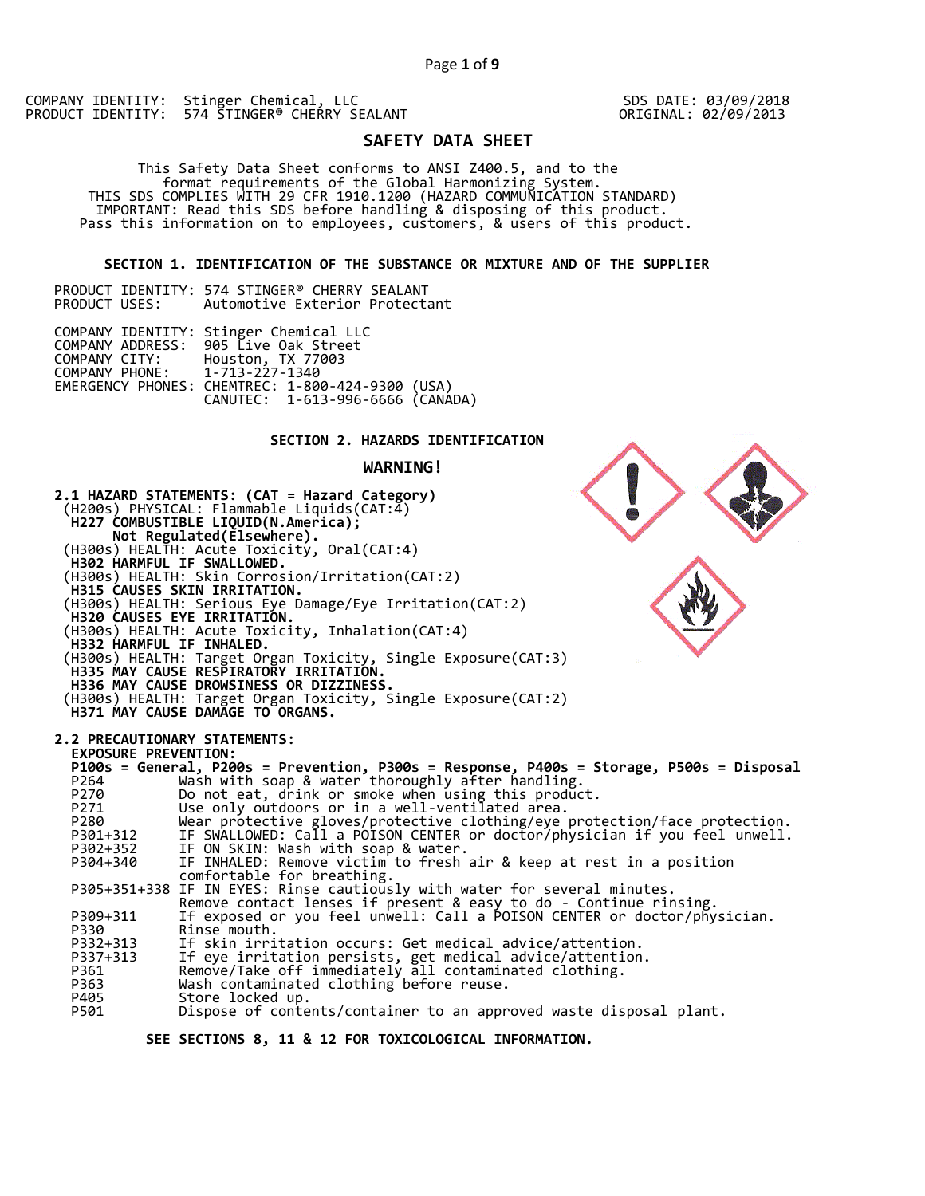SDS DATE: 03/09/2018 ORIGINAL: 02/09/2013

# **SAFETY DATA SHEET**

 This Safety Data Sheet conforms to ANSI Z400.5, and to the format requirements of the Global Harmonizing System. THIS SDS COMPLIES WITH 29 CFR 1910.1200 (HAZARD COMMUNICATION STANDARD) IMPORTANT: Read this SDS before handling & disposing of this product. Pass this information on to employees, customers, & users of this product.

### **SECTION 1. IDENTIFICATION OF THE SUBSTANCE OR MIXTURE AND OF THE SUPPLIER**

|               | PRODUCT IDENTITY: 574 STINGER® CHERRY SEALANT |  |
|---------------|-----------------------------------------------|--|
| PRODUCT USES: | Automotive Exterior Protectant                |  |

|                               | COMPANY IDENTITY: Stinger Chemical LLC<br>COMPANY ADDRESS: 905 Live Oak Street       |  |
|-------------------------------|--------------------------------------------------------------------------------------|--|
|                               | COMPANY CITY: Houston, TX 77003                                                      |  |
| COMPANY PHONE: 1-713-227-1340 |                                                                                      |  |
|                               | EMERGENCY PHONES: CHEMTREC: 1-800-424-9300 (USA)<br>CANUTEC: 1-613-996-6666 (CANADA) |  |
|                               |                                                                                      |  |

### **SECTION 2. HAZARDS IDENTIFICATION**

### **WARNING!**



 **SEE SECTIONS 8, 11 & 12 FOR TOXICOLOGICAL INFORMATION.**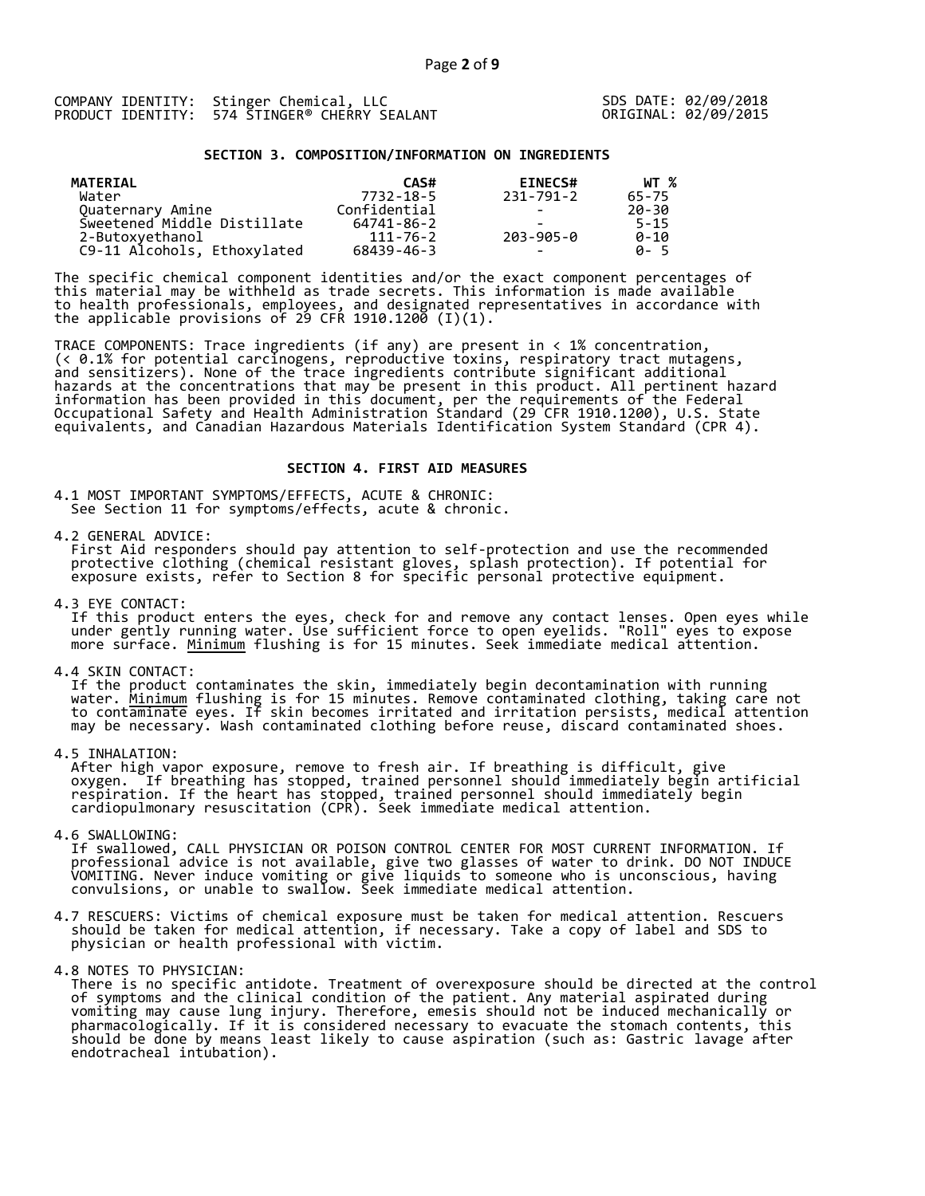|  | COMPANY IDENTITY: Stinger Chemical, LLC       |
|--|-----------------------------------------------|
|  | PRODUCT IDENTITY: 574 STINGER® CHERRY SEALANT |

SDS DATE: 02/09/2018 ORIGINAL: 02/09/2015

#### **SECTION 3. COMPOSITION/INFORMATION ON INGREDIENTS**

| MATERIAL                    | CAS#         | <b>EINECS#</b>           | WT %     |
|-----------------------------|--------------|--------------------------|----------|
| Water                       | 7732-18-5    | 231-791-2                | 65-75    |
| Quaternary Amine            | Confidential | -                        | 20-30    |
| Sweetened Middle Distillate | 64741-86-2   |                          | $5 - 15$ |
| 2-Butoxyethanol             | 111-76-2     | 203-905-0                | $0 - 10$ |
| C9-11 Alcohols, Ethoxylated | 68439-46-3   | $\overline{\phantom{0}}$ | A-5      |

The specific chemical component identities and/or the exact component percentages of this material may be withheld as trade secrets. This information is made available to health professionals, employees, and designated representatives in accordance with the applicable provisions of 29 CFR 1910.1200̄ (I)(1).  $\overline{\phantom{a}}$ 

TRACE COMPONENTS: Trace ingredients (if any) are present in < 1% concentration, (< 0.1% for potential carcinogens, reproductive toxins, respiratory tract mutagens, and sensitizers). None of the trace ingredients contribute significant additional hazards at the concentrations that may be present in this product. All pertinent hazard information has been provided in this document, per the requirements of the Federal Occupational Safety and Health Administration Standard (29 CFR 1910.1200), U.S. State equivalents, and Canadian Hazardous Materials Identification System Standard (CPR 4).

### **SECTION 4. FIRST AID MEASURES**

4.1 MOST IMPORTANT SYMPTOMS/EFFECTS, ACUTE & CHRONIC: See Section 11 for symptoms/effects, acute & chronic.

4.2 GENERAL ADVICE:

 First Aid responders should pay attention to self-protection and use the recommended protective clothing (chemical resistant gloves, splash protection). If potential for exposure exists, refer to Section 8 for specific personal protective equipment.

4.3 EYE CONTACT:

 If this product enters the eyes, check for and remove any contact lenses. Open eyes while under gently running water. Use sufficient force to open eyelids. "Roll" eyes to expose more surface. <u>Minimum</u> flushing is for 15 minutes. Seek immediate medical attention.

4.4 SKIN CONTACT:

 If the product contaminates the skin, immediately begin decontamination with running water. <u>Minimum</u> flushing is for 15 minutes. Remove contaminated clothing, taking care not to contaminate eyes. If skin becomes irritated and irritation persists, medical attention may be necessary. Wash contaminated clothing before reuse, discard contaminated shoes.

4.5 INHALATION:

 After high vapor exposure, remove to fresh air. If breathing is difficult, give oxygen. If breathing has stopped, trained personnel should immediately begin artificial respiration. If the heart has stopped, trained personnel should immediately begin cardiopulmonary resuscitation (CPR). Seek immediate medical attention.

4.6 SWALLOWING:

 If swallowed, CALL PHYSICIAN OR POISON CONTROL CENTER FOR MOST CURRENT INFORMATION. If professional advice is not available, give two glasses of water to drink. DO NOT INDUCE VOMITING. Never induce vomiting or give liquids to someone who is unconscious, having convulsions, or unable to swallow. Seek immediate medical attention.

- 4.7 RESCUERS: Victims of chemical exposure must be taken for medical attention. Rescuers should be taken for medical attention, if necessary. Take a copy of label and SDS to physician or health professional with victim.
- 4.8 NOTES TO PHYSICIAN:
- There is no specific antidote. Treatment of overexposure should be directed at the control of symptoms and the clinical condition of the patient. Any material aspirated during vomiting may cause lung injury. Therefore, emesis should not be induced mechanically or pharmacologically. If it is considered necessary to evacuate the stomach contents, this should be done by means least likely to cause aspiration (such as: Gastric lavage after endotracheal intubation).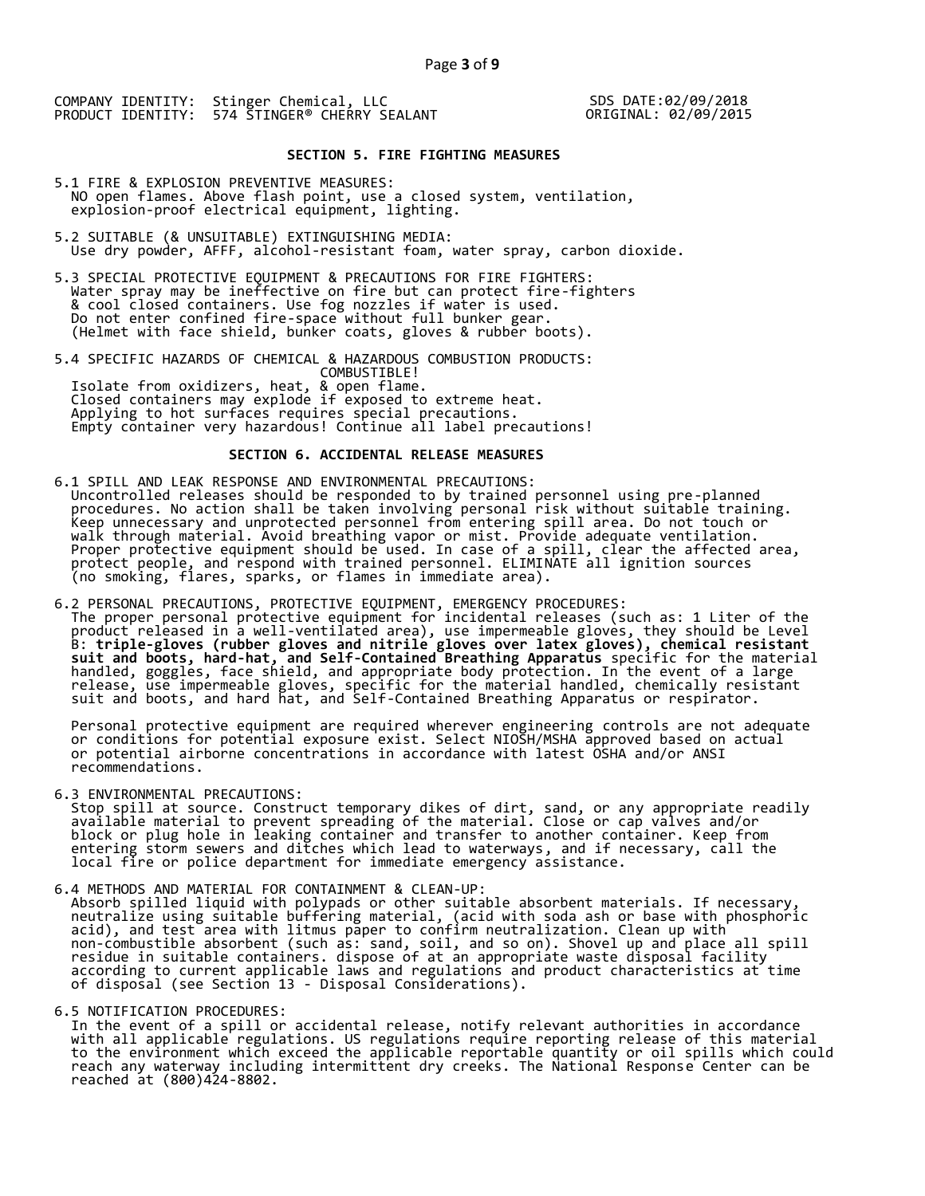SDS DATE:02/09/2018 ORIGINAL: 02/09/2015

### **SECTION 5. FIRE FIGHTING MEASURES**

- 5.1 FIRE & EXPLOSION PREVENTIVE MEASURES: NO open flames. Above flash point, use a closed system, ventilation, explosion-proof electrical equipment, lighting.
- 5.2 SUITABLE (& UNSUITABLE) EXTINGUISHING MEDIA: Use dry powder, AFFF, alcohol-resistant foam, water spray, carbon dioxide.
- 5.3 SPECIAL PROTECTIVE EQUIPMENT & PRECAUTIONS FOR FIRE FIGHTERS: Water spray may be ineffective on fire but can protect fire-fighters & cool closed containers. Use fog nozzles if water is used. Do not enter confined fire-space without full bunker gear. (Helmet with face shield, bunker coats, gloves & rubber boots).
- 5.4 SPECIFIC HAZARDS OF CHEMICAL & HAZARDOUS COMBUSTION PRODUCTS: COMBUSTIBLE! Isolate from oxidizers, heat, & open flame. Closed containers may explode if exposed to extreme heat. Applying to hot surfaces requires special precautions. Empty container very hazardous! Continue all label precautions!

### **SECTION 6. ACCIDENTAL RELEASE MEASURES**

- 6.1 SPILL AND LEAK RESPONSE AND ENVIRONMENTAL PRECAUTIONS: Uncontrolled releases should be responded to by trained personnel using pre-planned procedures. No action shall be taken involving personal risk without suitable training. Keep unnecessary and unprotected personnel from entering spill area. Do not touch or walk through material. Avoid breathing vapor or mist. Provide adequate ventilation. Proper protective equipment should be used. In case of a spill, clear the affected area, protect people, and respond with trained personnel. ELIMINATE all ignition sources (no smoking, flares, sparks, or flames in immediate area).
- 6.2 PERSONAL PRECAUTIONS, PROTECTIVE EQUIPMENT, EMERGENCY PROCEDURES: The proper personal protective equipment for incidental releases (such as: 1 Liter of the product released in a well-ventilated area), use impermeable gloves, they should be Level B: **triple-gloves (rubber gloves and nitrile gloves over latex gloves), chemical resistant suit and boots, hard-hat, and Self-Contained Breathing Apparatus** specific for the material handled, goggles, face shield, and appropriate body protection. In the event of a large release, use impermeable gloves, specific for the material handled, chemically resistant suit and boots, and hard hat, and Self-Contained Breathing Apparatus or respirator.

 Personal protective equipment are required wherever engineering controls are not adequate or conditions for potential exposure exist. Select NIOSH/MSHA approved based on actual or potential airborne concentrations in accordance with latest OSHA and/or ANSI recommendations.

6.3 ENVIRONMENTAL PRECAUTIONS:

 Stop spill at source. Construct temporary dikes of dirt, sand, or any appropriate readily available material to prevent spreading of the material. Close or cap valves and/or block or plug hole in leaking container and transfer to another container. Keep from entering storm sewers and ditches which lead to waterways, and if necessary, call the local fire or police department for immediate emergency assistance.

6.4 METHODS AND MATERIAL FOR CONTAINMENT & CLEAN-UP:

 Absorb spilled liquid with polypads or other suitable absorbent materials. If necessary, neutralize using suitable buffering material, (acid with soda ash or base with phosphoric acid), and test area with litmus paper to confirm neutralization. Clean up with non-combustible absorbent (such as: sand, soil, and so on). Shovel up and place all spill residue in suitable containers. dispose of at an appropriate waste disposal facility according to current applicable laws and regulations and product characteristics at time of disposal (see Section 13 - Disposal Considerations).

6.5 NOTIFICATION PROCEDURES:

 In the event of a spill or accidental release, notify relevant authorities in accordance with all applicable regulations. US regulations require reporting release of this material to the environment which exceed the applicable reportable quantity or oil spills which could reach any waterway including intermittent dry creeks. The National Response Center can be reached at (800)424-8802.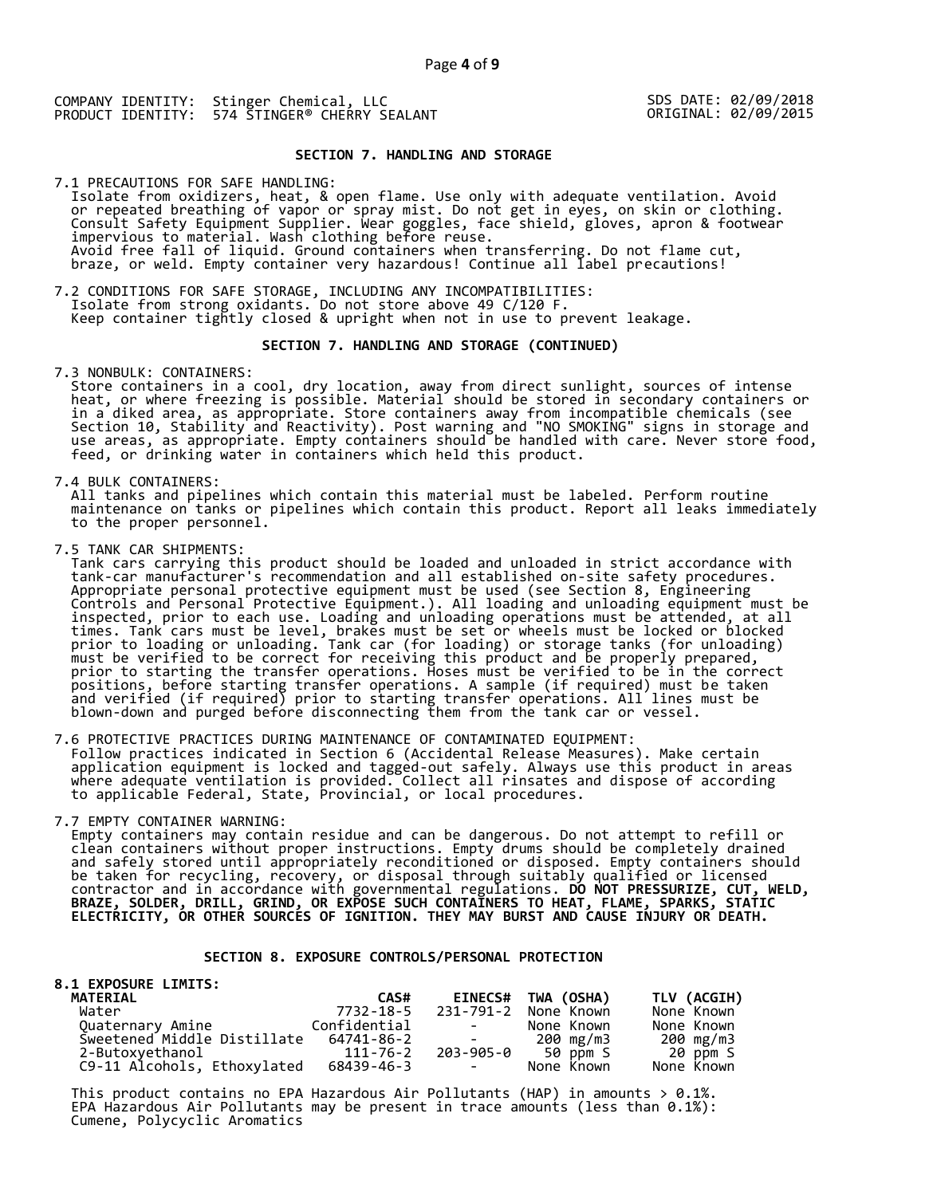SDS DATE: 02/09/2018 ORIGINAL: 02/09/2015

### **SECTION 7. HANDLING AND STORAGE**

7.1 PRECAUTIONS FOR SAFE HANDLING: Isolate from oxidizers, heat, & open flame. Use only with adequate ventilation. Avoid or repeated breathing of vapor or spray mist. Do not get in eyes, on skin or clothing. Consult Safety Equipment Supplier. Wear goggles, face shield, gloves, apron & footwear impervious to material. Wash clothing before reuse. Avoid free fall of liquid. Ground containers when transferring. Do not flame cut, braze, or weld. Empty container very hazardous! Continue all label precautions!

7.2 CONDITIONS FOR SAFE STORAGE, INCLUDING ANY INCOMPATIBILITIES: Isolate from strong oxidants. Do not store above 49 C/120 F. Keep container tightly closed & upright when not in use to prevent leakage.

#### **SECTION 7. HANDLING AND STORAGE (CONTINUED)**

7.3 NONBULK: CONTAINERS:

 Store containers in a cool, dry location, away from direct sunlight, sources of intense heat, or where freezing is possible. Material should be stored in secondary containers or in a diked area, as appropriate. Store containers away from incompatible chemicals (see Section 10, Stability and Reactivity). Post warning and "NO SMOKING" signs in storage and use areas, as appropriate. Empty containers should be handled with care. Never store food, feed, or drinking water in containers which held this product.

7.4 BULK CONTAINERS:

 All tanks and pipelines which contain this material must be labeled. Perform routine maintenance on tanks or pipelines which contain this product. Report all leaks immediately to the proper personnel.

7.5 TANK CAR SHIPMENTS:

 Tank cars carrying this product should be loaded and unloaded in strict accordance with tank-car manufacturer's recommendation and all established on-site safety procedures. Appropriate personal protective equipment must be used (see Section 8, Engineering Controls and Personal Protective Equipment.). All loading and unloading equipment must be inspected, prior to each use. Loading and unloading operations must be attended, at all times. Tank cars must be level, brakes must be set or wheels must be locked or blocked prior to loading or unloading. Tank car (for loading) or storage tanks (for unloading) must be verified to be correct for receiving this product and be properly prepared, prior to starting the transfer operations. Hoses must be verified to be in the correct positions, before starting transfer operations. A sample (if required) must be taken and verified (if required) prior to starting transfer operations. All lines must be blown-down and purged before disconnecting them from the tank car or vessel.

7.6 PROTECTIVE PRACTICES DURING MAINTENANCE OF CONTAMINATED EQUIPMENT: Follow practices indicated in Section 6 (Accidental Release Measures). Make certain application equipment is locked and tagged-out safely. Always use this product in areas where adequate ventilation is provided. Collect all rinsates and dispose of according to applicable Federal, State, Provincial, or local procedures.

7.7 EMPTY CONTAINER WARNING:

 Empty containers may contain residue and can be dangerous. Do not attempt to refill or clean containers without proper instructions. Empty drums should be completely drained and safely stored until appropriately reconditioned or disposed. Empty containers should be taken for recycling, recovery, or disposal through suitably qualified or licensed contractor and in accordance with governmental regulations. **DO NOT PRESSURIZE, CUT, WELD, BRAZE, SOLDER, DRILL, GRIND, OR EXPOSE SUCH CONTAINERS TO HEAT, FLAME, SPARKS, STATIC ELECTRICITY, OR OTHER SOURCES OF IGNITION. THEY MAY BURST AND CAUSE INJURY OR DEATH.**

#### **SECTION 8. EXPOSURE CONTROLS/PERSONAL PROTECTION**

| <b>8.1 EXPOSURE LIMITS:</b> |              |                                                                                                   |                    |             |
|-----------------------------|--------------|---------------------------------------------------------------------------------------------------|--------------------|-------------|
| <b>MATERIAL</b>             | CAS#         |                                                                                                   | EINECS# TWA (OSHA) | TLV (ACGIH) |
| Water                       | 7732-18-5    | 231-791-2                                                                                         | None Known         | None Known  |
| Quaternary Amine            | Confidential | <b>Contract Contract</b>                                                                          | None Known         | None Known  |
| Sweetened Middle Distillate | 64741-86-2   | $\mathcal{L}_{\text{max}}$ and $\mathcal{L}_{\text{max}}$ . The set of $\mathcal{L}_{\text{max}}$ | 200 mg/m3          | 200 mg/m3   |
| 2-Butoxyethanol             | 111-76-2     |                                                                                                   | 203-905-0 50 ppm S | 20 ppm S    |
| C9-11 Alcohols, Ethoxylated | 68439-46-3   | <b>Contract Contract</b>                                                                          | None Known         | None Known  |

This product contains no EPA Hazardous Air Pollutants (HAP) in amounts  $> 0.1\%$ . EPA Hazardous Air Pollutants may be present in trace amounts (less than 0.1%): Cumene, Polycyclic Aromatics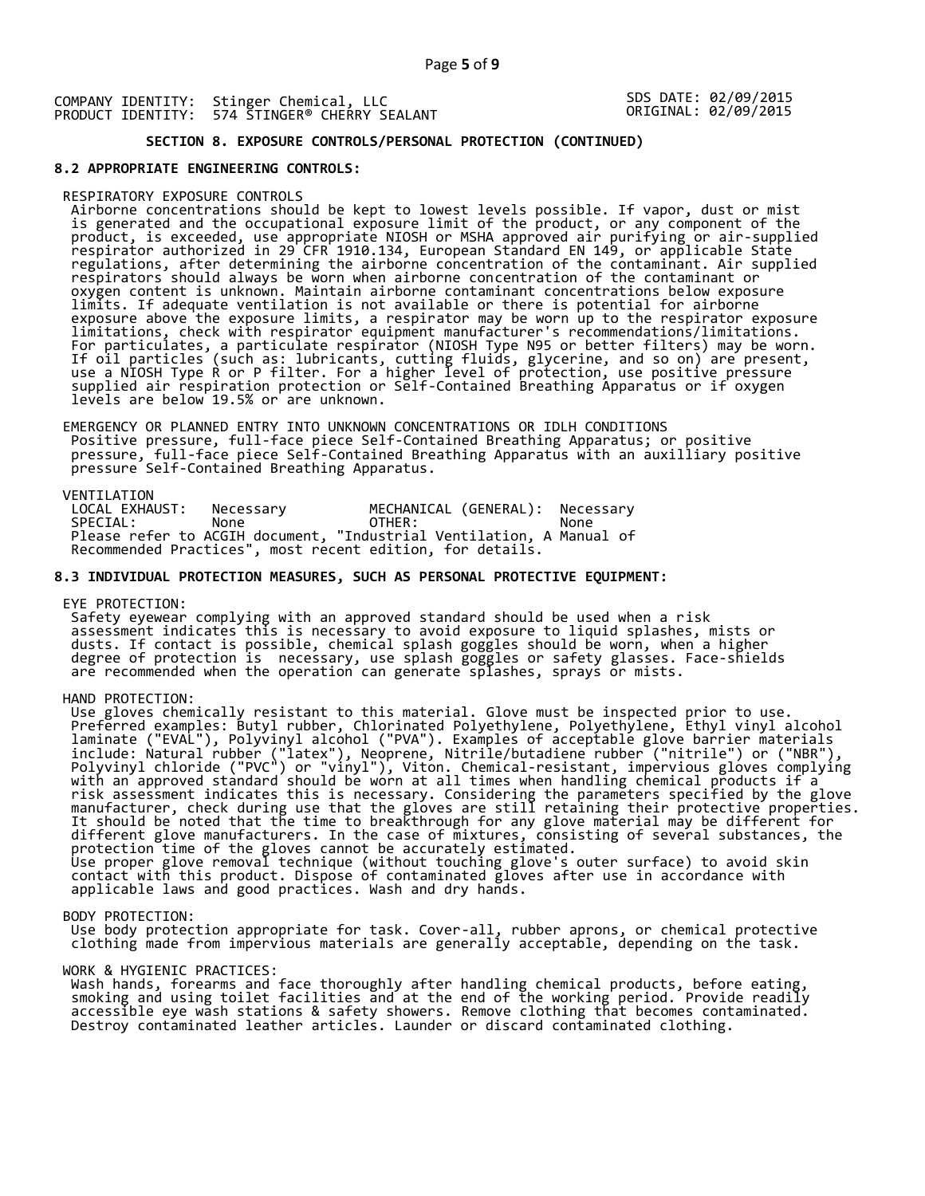SDS DATE: 02/09/2015 ORIGINAL: 02/09/2015

## **SECTION 8. EXPOSURE CONTROLS/PERSONAL PROTECTION (CONTINUED)**

#### **8.2 APPROPRIATE ENGINEERING CONTROLS:**

#### RESPIRATORY EXPOSURE CONTROLS

 Airborne concentrations should be kept to lowest levels possible. If vapor, dust or mist is generated and the occupational exposure limit of the product, or any component of the product, is exceeded, use appropriate NIOSH or MSHA approved air purifying or air-supplied respirator authorized in 29 CFR 1910.134, European Standard EN 149, or applicable State regulations, after determining the airborne concentration of the contaminant. Air supplied respirators should always be worn when airborne concentration of the contaminant or oxygen content is unknown. Maintain airborne contaminant concentrations below exposure limits. If adequate ventilation is not available or there is potential for airborne exposure above the exposure limits, a respirator may be worn up to the respirator exposure limitations, check with respirator equipment manufacturer's recommendations/limitations. For particulates, a particulate respirator (NIOSH Type N95 or better filters) may be worn. If oil particles (such as: lubricants, cutting fluids, glycerine, and so on) are present, use a NIOSH Type R or P filter. For a higher level of protection, use positive pressure supplied air respiration protection or Self-Contained Breathing Apparatus or if oxygen levels are below 19.5% or are unknown.

 EMERGENCY OR PLANNED ENTRY INTO UNKNOWN CONCENTRATIONS OR IDLH CONDITIONS Positive pressure, full-face piece Self-Contained Breathing Apparatus; or positive pressure, full-face piece Self-Contained Breathing Apparatus with an auxilliary positive pressure Self-Contained Breathing Apparatus.

VENTILATION<br>LOCAL EXHAUST: LOCAL EXHAUST: Necessary MECHANICAL (GENERAL): Necessary SPECIAL: None OTHER: None Please refer to ACGIH document, "Industrial Ventilation, A Manual of Recommended Practices", most recent edition, for details.

#### **8.3 INDIVIDUAL PROTECTION MEASURES, SUCH AS PERSONAL PROTECTIVE EQUIPMENT:**

EYE PROTECTION:

 Safety eyewear complying with an approved standard should be used when a risk assessment indicates this is necessary to avoid exposure to liquid splashes, mists or dusts. If contact is possible, chemical splash goggles should be worn, when a higher degree of protection is necessary, use splash goggles or safety glasses. Face-shields are recommended when the operation can generate splashes, sprays or mists.

HAND PROTECTION:

 Use gloves chemically resistant to this material. Glove must be inspected prior to use. Preferred examples: Butyl rubber, Chlorinated Polyethylene, Polyethylene, Ethyl vinyl alcohol laminate ("EVAL"), Polyvinyl alcohol ("PVA"). Examples of acceptable glove barrier materials include: Natural rubber ("latex"), Neoprene, Nitrile/butadiene rubber ("nitrile") or ("NBR"), Polyvinyl chloride ("PVC") or "vinyl"), Viton. Chemical-resistant, impervious gloves complying with an approved standard should be worn at all times when handling chemical products if a risk assessment indicates this is necessary. Considering the parameters specified by the glove manufacturer, check during use that the gloves are still retaining their protective properties. It should be noted that the time to breakthrough for any glove material may be different for different glove manufacturers. In the case of mixtures, consisting of several substances, the protection time of the gloves cannot be accurately estimated. Use proper glove removal technique (without touching glove's outer surface) to avoid skin contact with this product. Dispose of contaminated gloves after use in accordance with applicable laws and good practices. Wash and dry hands.

#### BODY PROTECTION:

 Use body protection appropriate for task. Cover-all, rubber aprons, or chemical protective clothing made from impervious materials are generally acceptable, depending on the task.

#### WORK & HYGIENIC PRACTICES:

 Wash hands, forearms and face thoroughly after handling chemical products, before eating, smoking and using toilet facilities and at the end of the working period. Provide readily accessible eye wash stations & safety showers. Remove clothing that becomes contaminated. Destroy contaminated leather articles. Launder or discard contaminated clothing.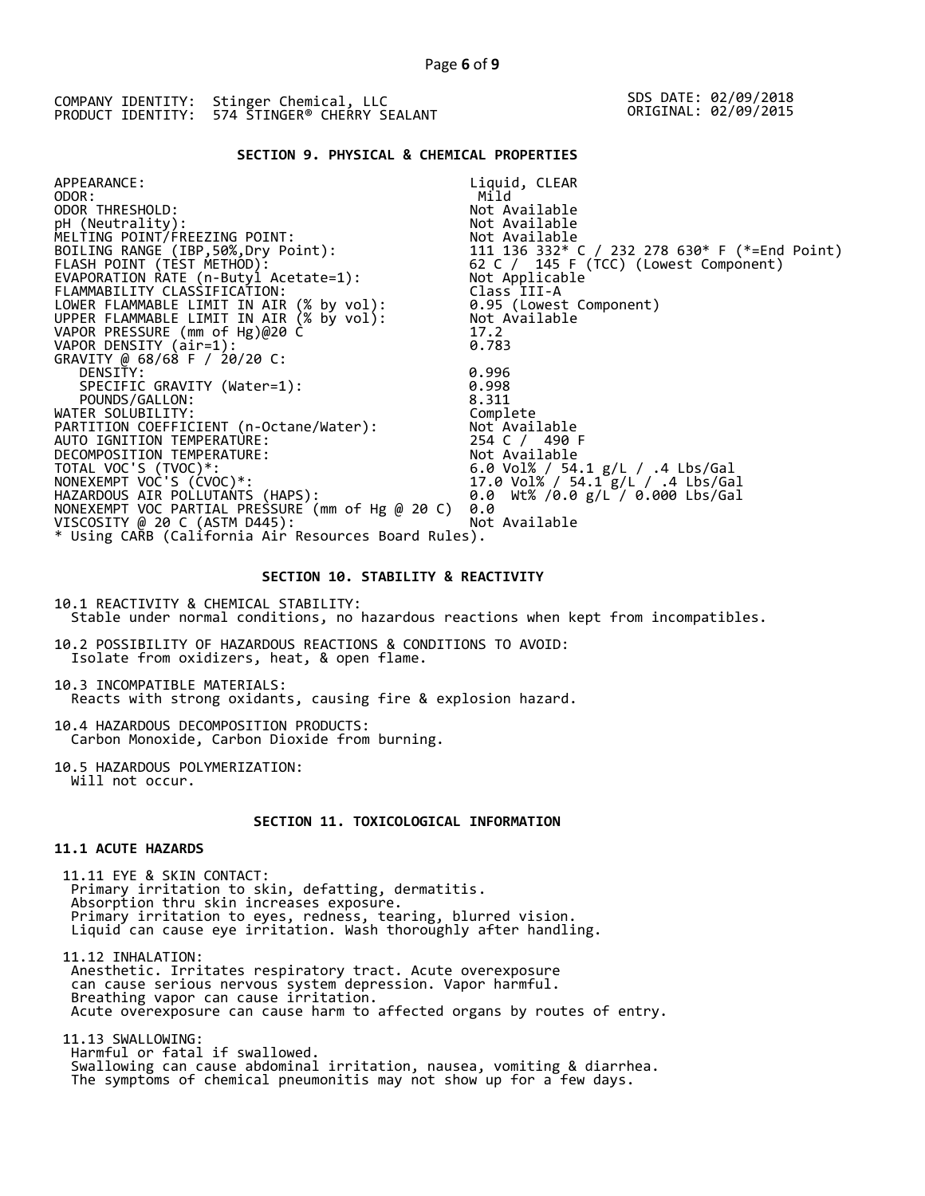### **SECTION 9. PHYSICAL & CHEMICAL PROPERTIES**

| APPEARANCE:                                          | Liquid, CLEAR                                                                                                |
|------------------------------------------------------|--------------------------------------------------------------------------------------------------------------|
| ODOR:                                                | Mild                                                                                                         |
| ODOR THRESHOLD:                                      | Not Available                                                                                                |
| pH (Neutrality):                                     | Not Available                                                                                                |
| MELTING POINT/FREEZING POINT:                        |                                                                                                              |
| BOILING RANGE (IBP, 50%, Dry Point):                 |                                                                                                              |
| FLASH POINT (TÈST METHÓD):                           | Not Available<br>111  136  332* C / 232  278  630* F (*=End Point)<br>62 C / ˌ145 E (TCC) (Lowest Component) |
| EVAPORATION RATE (n-Butyl Acetate=1): Not Applicable |                                                                                                              |
| FLAMMABILITY CLASSIFICATION:                         | Class III-A                                                                                                  |
| LOWER FLAMMABLE LIMIT IN AIR (% by vol):             | 0.95 (Lowest Component)                                                                                      |
| UPPER FLAMMABLE LIMIT IN AIR (% by vol):             | Not Available                                                                                                |
| VAPOR PRESSURE (mm of Hg)@20 C                       | 17.2                                                                                                         |
| VAPOR DENSITY (air=1):                               | 0.783                                                                                                        |
| GRAVITY @ 68/68 F / 20/20 C:                         |                                                                                                              |
| DENSITY:                                             | 0.996                                                                                                        |
| SPECIFIC GRAVITY (Water=1):                          | 0.998                                                                                                        |
| POUNDS/GALLON:                                       | 8.311                                                                                                        |
| WATER SOLUBILITY:                                    | Complete                                                                                                     |
| PARTITION COEFFICIENT (n-Octane/Water):              | Not Available                                                                                                |
| AUTO IGNITION TEMPERATURE:                           | 254 C / 490 F                                                                                                |
| DECOMPOSITION TEMPERATURE:                           | Not Available                                                                                                |
| TOTAL VOC'S (TVOC)*:                                 |                                                                                                              |
| NONEXEMPT VOC'S (CVOC)*:                             | 6.0 Vol% / 54.1 g/L / .4 Lbs/Gal<br>17.0 Vol% / 54.1 g/L / .4 Lbs/Gal                                        |
| HAZARDOUS AIR POLLUTANTS (HAPS):                     | 0.0 Wt% /0.0 g/L / 0.000 Lbs/Gal                                                                             |
| NONEXEMPT VOC PARTIAL PRESSURE (mm of Hg @ 20 C)     | 0.0                                                                                                          |
| VISCOSITY @ 20 C (ASTM D445):                        | Not Available                                                                                                |
| * Using CARB (California Air Resources Board Rules). |                                                                                                              |
|                                                      |                                                                                                              |

#### **SECTION 10. STABILITY & REACTIVITY**

10.1 REACTIVITY & CHEMICAL STABILITY: Stable under normal conditions, no hazardous reactions when kept from incompatibles.

10.2 POSSIBILITY OF HAZARDOUS REACTIONS & CONDITIONS TO AVOID: Isolate from oxidizers, heat, & open flame.

10.3 INCOMPATIBLE MATERIALS: Reacts with strong oxidants, causing fire & explosion hazard.

10.4 HAZARDOUS DECOMPOSITION PRODUCTS: Carbon Monoxide, Carbon Dioxide from burning.

10.5 HAZARDOUS POLYMERIZATION: Will not occur.

### **SECTION 11. TOXICOLOGICAL INFORMATION**

### **11.1 ACUTE HAZARDS**

 11.11 EYE & SKIN CONTACT: Primary irritation to skin, defatting, dermatitis. Absorption thru skin increases exposure. Primary irritation to eyes, redness, tearing, blurred vision. Liquid can cause eye irritation. Wash thoroughly after handling.

 11.12 INHALATION: Anesthetic. Irritates respiratory tract. Acute overexposure can cause serious nervous system depression. Vapor harmful. Breathing vapor can cause irritation. Acute overexposure can cause harm to affected organs by routes of entry.

 11.13 SWALLOWING: Harmful or fatal if swallowed. Swallowing can cause abdominal irritation, nausea, vomiting & diarrhea. The symptoms of chemical pneumonitis may not show up for a few days.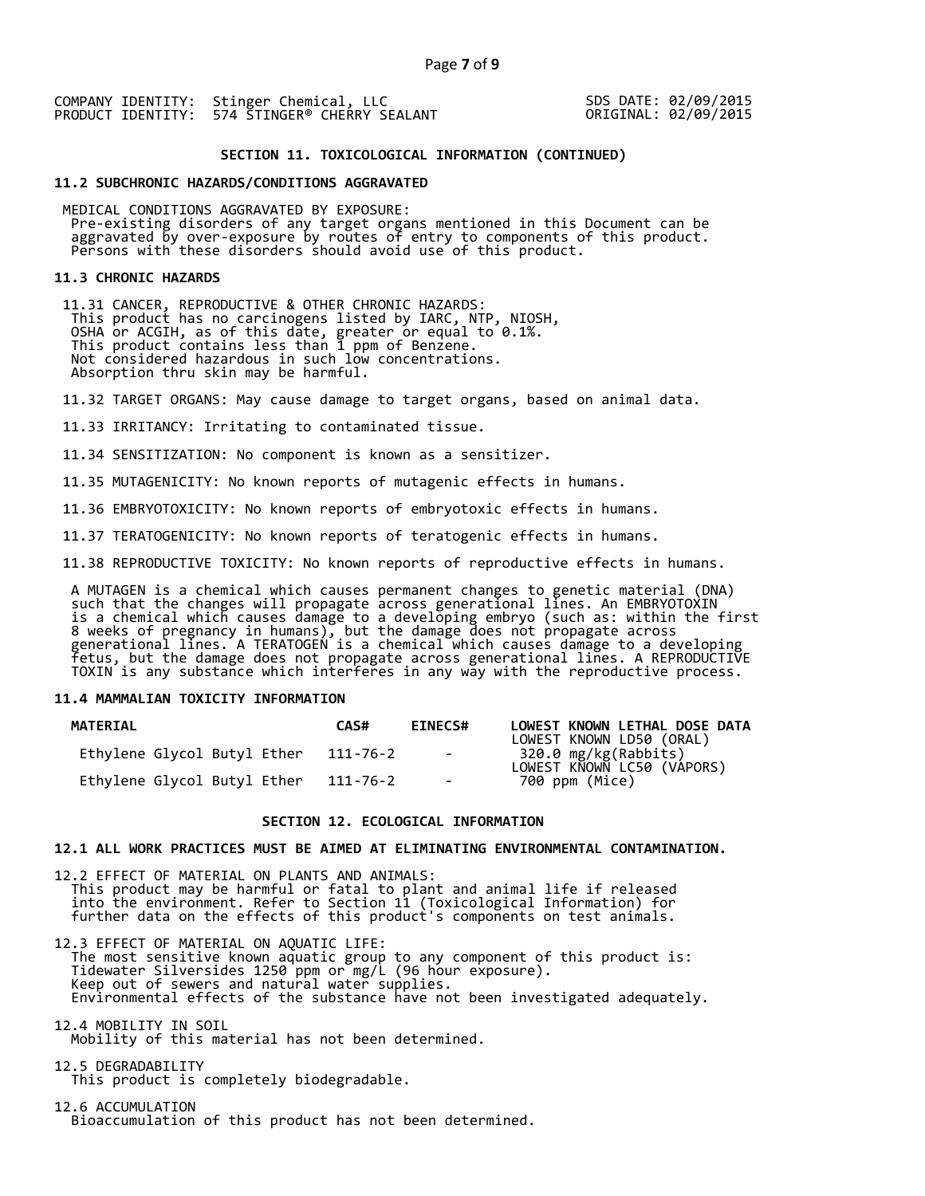SDS DATE: 02/09/2015 ORIGINAL: 02/09/2015

#### **SECTION 11. TOXICOLOGICAL INFORMATION (CONTINUED)**

#### **11.2 SUBCHRONIC HAZARDS/CONDITIONS AGGRAVATED**

 MEDICAL CONDITIONS AGGRAVATED BY EXPOSURE: Pre-existing disorders of any target organs mentioned in this Document can be aggravated by over-exposure by routes of entry to components of this product. Persons with these disorders should avoid use of this product.

#### **11.3 CHRONIC HAZARDS**

 11.31 CANCER, REPRODUCTIVE & OTHER CHRONIC HAZARDS: This product has no carcinogens listed by IARC, NTP, NIOSH, OSHA or ACGIH, as of this date, greater or equal to 0.1%. This product contains less than 1 ppm of Benzene. Not considered hazardous in such low concentrations. Absorption thru skin may be harmful.

11.32 TARGET ORGANS: May cause damage to target organs, based on animal data.

11.33 IRRITANCY: Irritating to contaminated tissue.

11.34 SENSITIZATION: No component is known as a sensitizer.

11.35 MUTAGENICITY: No known reports of mutagenic effects in humans.

11.36 EMBRYOTOXICITY: No known reports of embryotoxic effects in humans.

11.37 TERATOGENICITY: No known reports of teratogenic effects in humans.

11.38 REPRODUCTIVE TOXICITY: No known reports of reproductive effects in humans.

 A MUTAGEN is a chemical which causes permanent changes to genetic material (DNA) such that the changes will propagate across generational lines. An EMBRYOTOXIN is a chemical which causes damage to a developing embryo (such as: within the first 8 weeks of pregnancy in humans), but the damage does not propagate across generational lines. A TERATOGEN is a chemical which causes damage to a developing fetus, but the damage does not propagate across generational lines. A REPRODUCTIVE TOXIN is any substance which interferes in any way with the reproductive process.

#### **11.4 MAMMALIAN TOXICITY INFORMATION**

| <b>MATERIAL</b>             | CAS#     | <b>EINECS#</b>      | LOWEST KNOWN LETHAL DOSE DATA<br>LOWEST KNOWN LD50 (ORAL) |
|-----------------------------|----------|---------------------|-----------------------------------------------------------|
| Ethylene Glycol Butyl Ether | 111-76-2 | and the contract of | 320.0 mg/kg(Rabbits)<br>LOWEST KNOWN LC50 (VÁPORS)        |
| Ethylene Glycol Butyl Ether | 111-76-2 | $\sim$              | 700 ppm (Mice)                                            |

#### **SECTION 12. ECOLOGICAL INFORMATION**

#### **12.1 ALL WORK PRACTICES MUST BE AIMED AT ELIMINATING ENVIRONMENTAL CONTAMINATION.**

12.2 EFFECT OF MATERIAL ON PLANTS AND ANIMALS: This product may be harmful or fatal to plant and animal life if released into the environment. Refer to Section 11 (Toxicological Information) for further data on the effects of this product's components on test animals.

12.3 EFFECT OF MATERIAL ON AQUATIC LIFE: The most sensitive known aquatic group to any component of this product is: Tidewater Silversides 1250 ppm or mg/L (96 hour exposure). Keep out of sewers and natural water supplies. Environmental effects of the substance have not been investigated adequately.

12.4 MOBILITY IN SOIL Mobility of this material has not been determined.

12.5 DEGRADABILITY This product is completely biodegradable.

12.6 ACCUMULATION Bioaccumulation of this product has not been determined.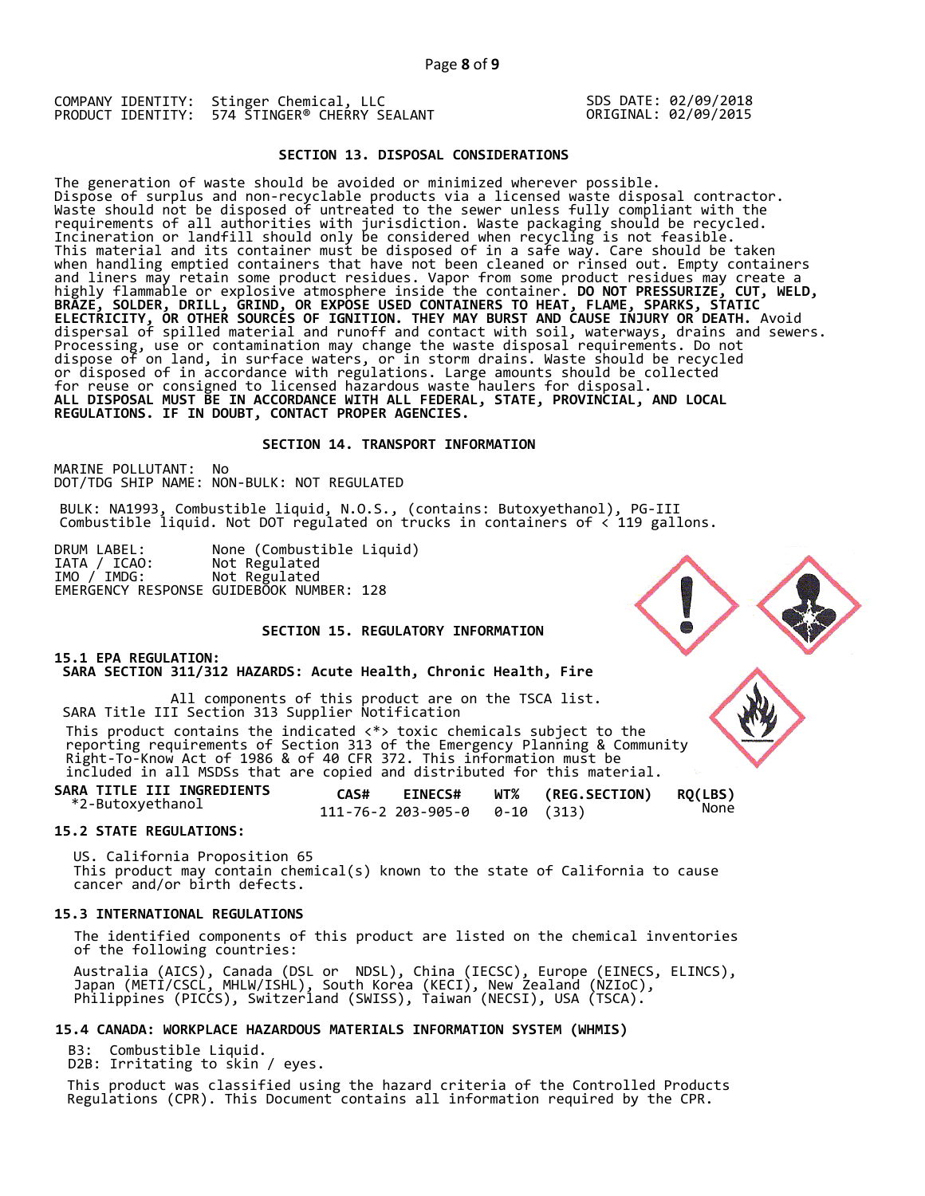SDS DATE: 02/09/2018 ORIGINAL: 02/09/2015

### **SECTION 13. DISPOSAL CONSIDERATIONS**

The generation of waste should be avoided or minimized wherever possible. Dispose of surplus and non-recyclable products via a licensed waste disposal contractor. Waste should not be disposed of untreated to the sewer unless fully compliant with the requirements of all authorities with jurisdiction. Waste packaging should be recycled. Incineration or landfill should only be considered when recycling is not feasible. This material and its container must be disposed of in a safe way. Care should be taken when handling emptied containers that have not been cleaned or rinsed out. Empty containers and liners may retain some product residues. Vapor from some product residues may create a highly flammable or explosive atmosphere inside the container. **DO NOT PRESSURIZE, CUT, WELD, BRAZE, SOLDER, DRILL, GRIND, OR EXPOSE USED CONTAINERS TO HEAT, FLAME, SPARKS, STATIC ELECTRICITY, OR OTHER SOURCES OF IGNITION. THEY MAY BURST AND CAUSE INJURY OR DEATH.** Avoid dispersal of spilled material and runoff and contact with soil, waterways, drains and sewers. Processing, use or contamination may change the waste disposal requirements. Do not dispose of on land, in surface waters, or in storm drains. Waste should be recycled or disposed of in accordance with regulations. Large amounts should be collected for reuse or consigned to licensed hazardous waste haulers for disposal. **ALL DISPOSAL MUST BE IN ACCORDANCE WITH ALL FEDERAL, STATE, PROVINCIAL, AND LOCAL REGULATIONS. IF IN DOUBT, CONTACT PROPER AGENCIES.** 

#### **SECTION 14. TRANSPORT INFORMATION**

MARINE POLLUTANT: No DOT/TDG SHIP NAME: NON-BULK: NOT REGULATED

BULK: NA1993, Combustible liquid, N.O.S., (contains: Butoxyethanol), PG-III Combustible liquid. Not DOT regulated on trucks in containers of < 119 gallons.

DRUM LABEL: None (Combustible Liquid) IATA / ICAO: Not Regulated IATA / ICAO: Not Regulated<br>IMO / IMDG: Not Regulated EMERGENCY RESPONSE GUIDEBOOK NUMBER: 128

### **SECTION 15. REGULATORY INFORMATION**

### **15.1 EPA REGULATION:**

 **SARA SECTION 311/312 HAZARDS: Acute Health, Chronic Health, Fire** 

All components of this product are on the TSCA list. SARA Title III Section 313 Supplier Notification

 This product contains the indicated <\*> toxic chemicals subject to the reporting requirements of Section 313 of the Emergency Planning & Community Right-To-Know Act of 1986 & of 40 CFR 372. This information must be included in all MSDSs that are copied and distributed for this material.

**SARA TITLE III INGREDIENTS CAS# EINECS# WT% (REG.SECTION) RQ(LBS)** \*2-Butoxyethanol 111-76-2 203-905-0 0-10 (313) None

### **15.2 STATE REGULATIONS:**

US. California Proposition 65 This product may contain chemical(s) known to the state of California to cause cancer and/or birth defects.

### **15.3 INTERNATIONAL REGULATIONS**

 The identified components of this product are listed on the chemical inventories of the following countries:

 Australia (AICS), Canada (DSL or NDSL), China (IECSC), Europe (EINECS, ELINCS), Japan (METI/CSCL, MHLW/ISHL), South Korea (KECI), New Zealand (NZIoC), Philippines (PICCS), Switzerland (SWISS), Taiwan (NECSI), USA (TSCA).

### **15.4 CANADA: WORKPLACE HAZARDOUS MATERIALS INFORMATION SYSTEM (WHMIS)**

Combustible Liquid.

D2B: Irritating to skin / eyes.

 This product was classified using the hazard criteria of the Controlled Products Regulations (CPR). This Document contains all information required by the CPR.